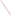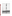# US EPA ARCHIVE DOCUMENT

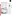# **Lakes, Reservoirs, and Ponds**

Forty-six states, Puerto Rico, and the District of Columbia (collectively referred to as states in the rest of this chapter) rated lake water quality in their 2000 Section 305(b) reports (see Appendix B, Table B-1, for individual state and jurisdiction data). These states assessed 17.3 million acres of lakes, reservoirs, and ponds, which equals 43% of the 40.6 million acres of lakes in the nation (Figure 3-1). The states based 68% of their assessments on monitored data and evaluated 28% of the assessed lake acres with qualitative information. The states did not specify whether the remaining 4% of assessed lake acres pared to the 1998 reporting cycle,

states are using monitoring data for a slightly larger percentage of their assessments. The number of assessed lake acres decreased slightly from 1998 to 2000, from 17.4 million acres to 17.3 million acres.

The summary information presented in this chapter applies strictly to the portion of the nation's lakes assessed by the states and tribes. EPA cannot make generalizations about the health of all of our nation's lakes based on data extracted from the 305(b) reports.

# Total Lake Acres: 40,603,893 Acres Assessed: 17,339,080 **States and Tribes ASSESSED** 17.3 Million Acres of Lakes (Excluding the Great Lakes) for the 2000 Report **States and Tribes ASSESSED 43%** of their total lake acres<sup>a</sup> for the 2000 report **Figure 3-1** were monitored or evaluated. Com-

This figure compares the total acres of lakes, reservoirs, and ponds with the subset that were assessed by states for the 2000 water quality report.

Based on data contained in Appendix B, Table B-1.

# af<sup>filit</sup>it<sub>itini</sub>n 43% Assessed

**Lake, Reservoir, and Pond Acres Assessed by the States and Tribes**

17,339,080 acres = 43% assessed **2000** Total acres:  $40,603,893^a$ 

57% Not Assessed 17,390,370 acres = 42% assessed **1998**  $\blacksquare$  Total acres: 41,593,748<sup>b</sup>  $\theta^{\rm J\hspace{-.1em}I\hspace{-.1em}I\hspace{-.1em}I} \eta_{\rm I\hspace{-.1em}I\hspace{-.1em}I\hspace{-.1em}I} \eta_{\rm I\hspace{-.1em}I\hspace{-.1em}I} \eta_{\rm I\hspace{-.1em}I\hspace{-.1em}I} \eta_{\rm I\hspace{-.1em}I}$ 1996 *W* 16,819,769 acres = 40% assessed Total acres:  $41,684,902^{\circ}$  $\theta^{\rm J\hspace{-.1em}I\hspace{-.1em}I\hspace{-.1em}I} \eta_{\rm I\hspace{-.1em}I\hspace{-.1em}I\hspace{-.1em}I} \eta_{\rm I\hspace{-.1em}I} \eta_{\rm I\hspace{-.1em}I} \eta_{\rm I\hspace{-.1em}I} \eta_{\rm I\hspace{-.1em}I}$ 17,134,153 acres = 42% assessed **1994** Total acres:  $40,826,064<sup>d</sup>$ <br>diffilitionally 18,300,000 acres = 46% assessed **1992** Total acres:  $39,920,000^e$ a<sup>ggnn</sup>nnach aSource: 2000 state and tribal Section 305(b) reports. bSource: 1998 state and tribal Section 305(b) reports. <sup>c</sup>Source: 1996 state and tribal Section 305(b) reports. dSource: 1994 state and tribal Section 305(b) reports.

<sup>e</sup>Source: 1992 state and tribal Section 305(b) reports.

Note: Figures may not add to 100% due to the rounding of individual numbers.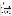# **Summary of Use Support**

Most states and tribes rate how well a lake supports individual uses (such as swimming and aquatic life) and then consolidate individual use ratings into a summary table. This table divides assessed lake acres into those that are

■ **Good** – Fully supporting all of their uses or fully supporting all uses but threatened for one or more uses

■ **Impaired** – Partially or not supporting one or more uses

■ **Not attainable** – Not able to support one or more uses.

Forty-five states, Puerto Rico, and the District of Columbia reported summary use support status for lakes in their 2000 Section 305(b) reports

### **Assessed Watersa**

Total lakes =  $40,603,893$  acres Total assessed =  $17,339,080$  acres

> 43% assessed 57% not assessed

Of the assessed acres:

- 68% were monitored
- 28% were evaluated
- 4% were not specified

### **Assessed Water Quality**



(see Appendix B, Table B-2, for individual state and tribal information). Mississippi, New Jersey, and Ohio did not report on summary of use support for lake acres, so EPA used aquatic life use support status to summarize lake water quality conditions in these states.

The states and tribes reported that 55% of their assessed 17.3 million lake acres have good water quality (Figure 3-2); 47% of the assessed lake acres fully support all uses and 8% of the assessed lake acres fully support all uses but are threatened for one or more uses. Some form of pollution or habitat degradation impairs the remaining 45% of the assessed lake acres included in summary of use support.

It is important to note that 11 states did not include the effects of statewide fish consumption advisories for mercury when calculating their summary use support status in lakes. Connecticut, Kentucky, Maine, Massachusetts, Minnesota, New Hampshire, New Jersey, North Carolina, Ohio, Vermont, and Wisconsin excluded the impairment associated with statewide mercury advisories in order to convey information that would have been otherwise masked by the fish consumption advisories. If these advisories had been included, all of the states' lakes would have received an impaired rating. Michigan also has a statewide advisory for mercury, and included that impairment in the summary of use support. New York excluded the effects of a statewide PCB/chlordane/mirex/ DDT fish consumption advisory for lakes in its summary data.



### **Summary of Use Support Figure 3-2**



This figure presents the status of the assessed acres of lakes, reservoirs, and ponds. Of the more than 17 million acres of lakes, reservoirs, and ponds assessed, 54% fully support their designated uses and 44% are impaired for one or more uses. Eight percent of the assessed waters are fully supporting uses but threatened.

Based on data contained in Appendix B, Table B-2.

Note: Figures may not add up to 100% due to rounding.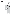# **Individual Use Support**

Individual use support assessment provides important details about the nature of water quality problems in our nation's surface waters. The states establish specific designated uses for waterbodies through their water quality standards and, for reporting purposes, consolidate their more detailed uses into six general use categories. The standard uses consist of aquatic life support, fish consumption, primary contact recreation (such as swimming and diving), secondary contact recreation (such as boating), drinking water supply, and agricultural use.

Forty-two states, Puerto Rico, and the District of Columbia reported individual use support status of their lakes, reservoirs, and ponds (see Appendix B, Table B-3, for individual state and tribal information). The reporting states assessed aquatic life use and swimming use most frequently. These states reported that support of aquatic life use is impaired in over 3.2 million lake acres (29% of the 11.2 million acres assessed for aquatic life support), and swimming criteria violations impact almost 3 million lake acres (23% of the 12.7 million acres assessed for swimming use support) (Figure 3-3).

Many states did not rate fish consumption use support because they have not included fish consumption as a use in their standards. However, through separate tracking of state fish consumption advisories (EPA's National Listing of Fish and Wildlife Advisories), EPA estimates that about 23% of the nation's total lake acres were under advisories in 2000. EPA encourages the states to designate fish consumption as a separate use in their waterbodies to promote consistency in future reporting.



This figure presents a tally of the acres of lakes, reservoirs, and ponds assessed by states for each category of designated use. For each category, the figure summarizes the proportion of the assessed waters rated according to quality.

Based on data contained in Appendix B, Table B-3.

Note: Figures may not add up to 100% due to rounding.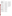## **Water Quality Problems Identified in Lakes, Reservoirs, and Ponds**

When states and tribes rate waters as impaired, they also attempt to identify the causes and sources of impairment. Figures 3-4 and 3-5 identify the pollutants and sources of pollutants that impair the most acres of assessed lakes.

The following sections describe the leading pollutants/stressors and sources of impairment identified in lakes. It is important to note that the information about pollutants/stressors and sources is incomplete. The states and tribes do not always report the pollutants/stressors or source of pollutants impacting every impaired lake acre. In some cases, they may recognize that water quality does not fully support a designated use, but may not have adequate data to document the specific pollutant, stressor or source responsible for the impairment.

### **Pollutants and Stressors Impacting Lakes, Reservoirs, and Ponds**

Forty-five states, the District of Columbia, and Puerto Rico identified the pollutants and stressors causing impairments to lake water quality. More lake acres are affected by nutrients than any other pollutant or stressor (Figure 3-4). States reported that excess nutrients pollute 3.8 million

lake acres (which equals 22% of the assessed lake acres and 50% of the impaired lake acres). See Appendix B, Table B-4, for individual state information.

Healthy lake ecosystems contain nutrients in small quantities from natural sources. Extra inputs of nutrients (primarily nitrogen and phosphorus) disrupt the balance of lake ecosystems by stimulating population explosions of undesirable algae and aquatic weeds (Figure 3-6). The algae sink to the lake bottom after they die, where bacteria decompose them. The bacteria consume dissolved oxygen in the water while decomposing the dead algae. Fish kills and foul odors may result if dissolved oxygen is depleted.

The states reported metals as the second most common pollutant in assessed lake acres, impairing 3.2 million lake acres (19% of the assessed lake acres and 42% of impaired lake acres). This is mainly due to the widespread detection of mercury in fish tissue samples. Most states rely on fish tissue samples to indicate mercury contamination, since mercury is difficult to measure in water but bioaccumulates in tissue. States are actively studying the extent of the mercury problem, which originates from atmospheric transport from power-generating facilities, waste incinerators, mining, and other sources.

In addition to nutrients and metals, the states report that siltation (sedimentation) pollutes nearly 1.6 million lake acres (9% of the assessed lake acres and 21% of the

impaired lake acres), total dissolved solids affect nearly 1.5 million acres (9% of the assessed lake acres and 19% of the impaired lake acres), and enrichment by organic wastes that deplete dissolved oxygen in lake waters affects over 1.1 million lake acres (7% of the assessed lake acres and 15% of the impaired lake acres).

Often, several pollutants and processes impair a single lake. For example, an activity such as removal of shoreline vegetation may accelerate erosion of sediment and nutrients into a lake. In such cases, the states and tribes count a single lake acre under each category that impacts the lake acre. Therefore, the lake acres impaired by each pollutant and process do not add up to 100% in Figures 3-4 and 3-5.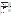



*The pollutants/processes and sources shown here may not correspond directly to one another (i.e., the leading pollutant may not originate from the leading source). This may occur because a major pollutant may be released from many minor sources. It also happens when states do not have the information to determine all the sources of a particular pollutant/stressor.*

According to the states, **NUTRIENTS** are the most common pollutants affecting assessed lakes. Nutrients

- Are found in 22% of the assessed lakes (see Figure 3-4)
- Contribute to 50% of reported water quality problems in impaired lakes.

States assessed 43% of the total acres of lakes, reservoirs, and ponds for the 2000 report.The larger pie chart on the left illustrates this proportion. The smaller pie chart on the right shows that, for the subset of assessed waters, 55% are rated as good and 45% as impaired. When states identify waters that are impaired, they describe the pollutants or processes causing or contributing to the impairment. The bar chart presents the leading causes and the number of lake, reservoir, and pond acres impacted. The percent scales on the upper and lower x-axes of the bar chart provide different perspectives on the magnitude of the impact of these pollutants. The lower axis compares the acres impacted by the pollutant to the total ASSESSED acres. The upper axis compares the acres impacted by the pollutant to the total IMPAIRED acres.

Based on data contained in Appendix B, Table B-4.

- \* Eleven states did not include the effects of statewide fish consumption advisories when reporting the pollutants and sources responsible for impairment. Therefore, certain pollutants and sources, such as metals and atmospheric deposition, may be underrepresented.
- † Includes acres assessed as not attainable.
- Note: Percentages do not add up to 100% because more than one pollutant or source may impair a lake.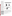### **Sources of Pollutants Impacting Lakes, Reservoirs, and Ponds**

Forty-five states, the District of Columbia, and Puerto Rico reported sources of pollution related to human activities that impair some of their lake, reservoir, and pond acres (see Appendix B, Table B-5, for individual state information). The most commonly reported known sources of impairment in lakes include agriculture, hydrologic modifications, and urban runoff/storm sewers.

Agriculture is the most widespread source of impairment in the nation's assessed lake acres (Figure 3-5). Agriculture generates pollutants that degrade aquatic life or interfere with public use of over 3 million lake acres (18% of the assessed lake acres and 41% of the impaired lake acres). Riparian pasture grazing and irrigated and nonirrigated crop production were the most frequently cited types of agriculture causing impairments to lake water quality.

Hydrologic modifications, the second most commonly reported source of impairment, degrade 1.4 million lake acres (8% of the assessed lake acres and 18% of the impaired lake acres). Hydrologic modifications include flow regulation and modification, dredging, and construction of dams. These activities

According to the states, **AGRICULTURE** is the leading source of pollution in assessed lakes. Agricultural pollution problems

- Affect 18% of the assessed lakes
- Contribute to 41% of reported water quality in impaired lakes (see Figure 3-5).







States assessed 43% of the total acres of lakes, reservoirs, and ponds for the 2000 report.The larger pie chart on the left illustrates this proportion. The smaller pie chart on the right shows that, for the subset of assessed waters, 55% are rated as good and 45% as impaired. When states identify waters that are impaired, they also describe the sources of pollutants associated with the impairment.The bar chart presents the leading sources and the number of lake, reservoir, and pond acres impacted. The percent scales on the upper and lower x-axes of the bar chart provide different perspectives on the magnitude of the impact of these sources. The lower axis compares the acres impacted by the source to the total ASSESSED acres. The upper axis compares the acres impacted by the source to the total IMPAIRED acres.

Based on data contained in Appendix B, Table B-5.

- \* Eleven states did not include the effects of statewide fish consumption advisories when reporting the pollutants and sources responsible for impairment. Therefore, certain pollutants and sources, such as metals and atmospheric deposition, may be underrepresented.
- † Excluding unknown, natural, and "other" sources.
- ‡ Includes acres assessed as not attainable.
- Note: Percentages do not add up to 100% because more than one pollutant or source may impair a lake.